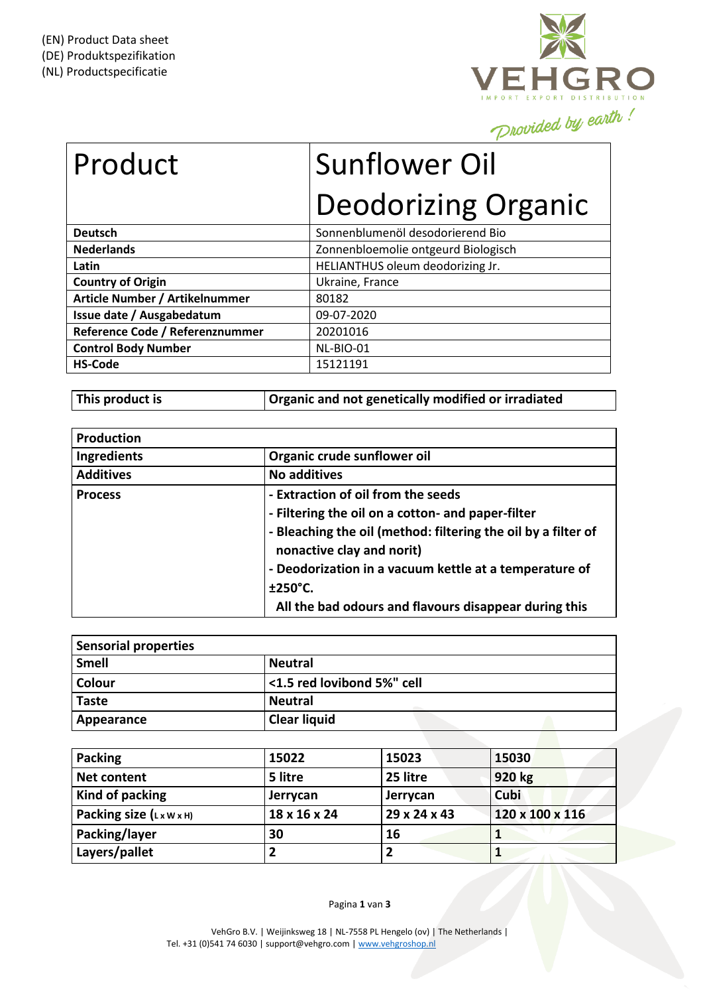

| Product                         | <b>Sunflower Oil</b>                |
|---------------------------------|-------------------------------------|
|                                 | <b>Deodorizing Organic</b>          |
| <b>Deutsch</b>                  | Sonnenblumenöl desodorierend Bio    |
| <b>Nederlands</b>               | Zonnenbloemolie ontgeurd Biologisch |
| Latin                           | HELIANTHUS oleum deodorizing Jr.    |
| <b>Country of Origin</b>        | Ukraine, France                     |
| Article Number / Artikelnummer  | 80182                               |
| Issue date / Ausgabedatum       | 09-07-2020                          |
| Reference Code / Referenznummer | 20201016                            |
|                                 |                                     |

| <b>Control Body Number</b> | NL-BIO-01 |
|----------------------------|-----------|
| <b>HS-Code</b>             | 15121191  |
|                            |           |

**This product is Organic and not genetically modified or irradiated**

| <b>Production</b>  |                                                                                            |
|--------------------|--------------------------------------------------------------------------------------------|
| <b>Ingredients</b> | Organic crude sunflower oil                                                                |
| <b>Additives</b>   | <b>No additives</b>                                                                        |
| <b>Process</b>     | - Extraction of oil from the seeds                                                         |
|                    | - Filtering the oil on a cotton- and paper-filter                                          |
|                    | - Bleaching the oil (method: filtering the oil by a filter of<br>nonactive clay and norit) |
|                    | - Deodorization in a vacuum kettle at a temperature of                                     |
|                    | ±250°C.                                                                                    |
|                    | All the bad odours and flavours disappear during this                                      |

| Sensorial properties |                            |
|----------------------|----------------------------|
| Smell                | <b>Neutral</b>             |
| <b>Colour</b>        | <1.5 red lovibond 5%" cell |
| <b>Taste</b>         | Neutral                    |
| Appearance           | <b>Clear liquid</b>        |

| <b>Packing</b>                       | 15022        | 15023        | 15030           |
|--------------------------------------|--------------|--------------|-----------------|
| <b>Net content</b>                   | 5 litre      | 25 litre     | 920 kg          |
| Kind of packing                      | Jerrycan     | Jerrycan     | Cubi            |
| Packing size $(L \times W \times H)$ | 18 x 16 x 24 | 29 x 24 x 43 | 120 x 100 x 116 |
| Packing/layer                        | 30           | 16           |                 |
| Layers/pallet                        |              | ּ            |                 |

Pagina **1** van **3**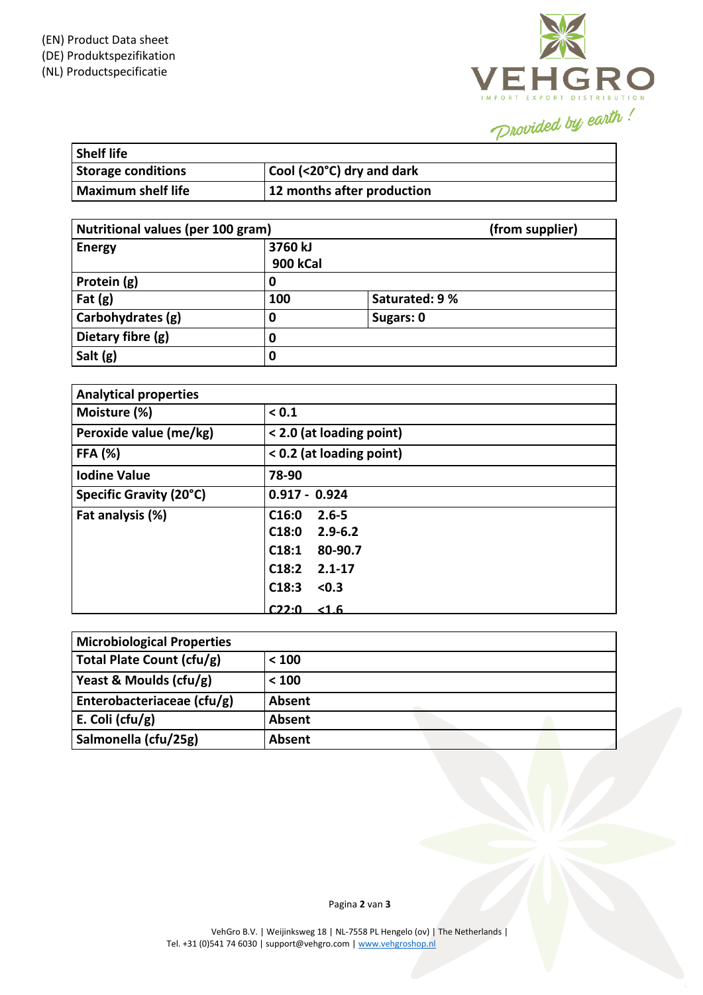

| <b>Shelf life</b>         |                            |
|---------------------------|----------------------------|
| <b>Storage conditions</b> | Cool (<20°C) dry and dark  |
| <b>Maximum shelf life</b> | 12 months after production |

| Nutritional values (per 100 gram) |                            | (from supplier) |
|-----------------------------------|----------------------------|-----------------|
| <b>Energy</b>                     | 3760 kJ<br><b>900 kCal</b> |                 |
| Protein (g)                       | 0                          |                 |
| $ $ Fat $(g)$                     | 100                        | Saturated: 9 %  |
| Carbohydrates (g)                 | 0                          | Sugars: 0       |
| Dietary fibre (g)                 | 0                          |                 |
| Salt (g)                          | 0                          |                 |

| <b>Analytical properties</b> |                                                                                                         |
|------------------------------|---------------------------------------------------------------------------------------------------------|
| Moisture (%)                 | < 0.1                                                                                                   |
| Peroxide value (me/kg)       | < 2.0 (at loading point)                                                                                |
| <b>FFA (%)</b>               | < 0.2 (at loading point)                                                                                |
| <b>Iodine Value</b>          | 78-90                                                                                                   |
| Specific Gravity (20°C)      | $0.917 - 0.924$                                                                                         |
| Fat analysis (%)             | C16:0<br>$2.6 - 5$<br>C18:0<br>$2.9 - 6.2$<br>C18:1<br>80-90.7<br>C18:2<br>$2.1 - 17$<br>C18:3<br>< 0.3 |
|                              | C22:0<br>< 1.6                                                                                          |

| <b>Microbiological Properties</b> |        |  |
|-----------------------------------|--------|--|
| Total Plate Count (cfu/g)         | < 100  |  |
| Yeast & Moulds (cfu/g)            | < 100  |  |
| Enterobacteriaceae (cfu/g)        | Absent |  |
| E. Coli (cfu/g)                   | Absent |  |
| Salmonella (cfu/25g)              | Absent |  |

Pagina **2** van **3**